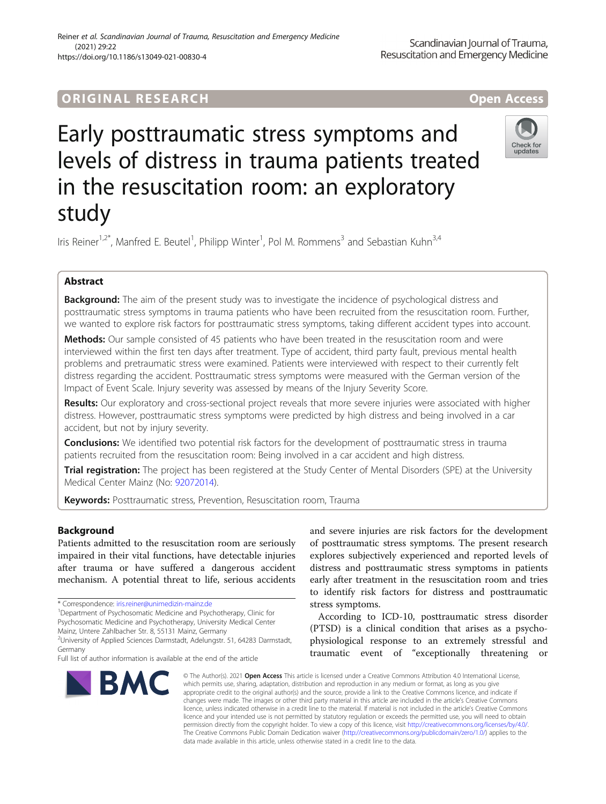# ORIGINA L R E S EA RCH Open Access

# Early posttraumatic stress symptoms and levels of distress in trauma patients treated in the resuscitation room: an exploratory study



Iris Reiner<sup>1,2\*</sup>, Manfred E. Beutel<sup>1</sup>, Philipp Winter<sup>1</sup>, Pol M. Rommens<sup>3</sup> and Sebastian Kuhn<sup>3,4</sup>

# Abstract

**Background:** The aim of the present study was to investigate the incidence of psychological distress and posttraumatic stress symptoms in trauma patients who have been recruited from the resuscitation room. Further, we wanted to explore risk factors for posttraumatic stress symptoms, taking different accident types into account.

Methods: Our sample consisted of 45 patients who have been treated in the resuscitation room and were interviewed within the first ten days after treatment. Type of accident, third party fault, previous mental health problems and pretraumatic stress were examined. Patients were interviewed with respect to their currently felt distress regarding the accident. Posttraumatic stress symptoms were measured with the German version of the Impact of Event Scale. Injury severity was assessed by means of the Injury Severity Score.

Results: Our exploratory and cross-sectional project reveals that more severe injuries were associated with higher distress. However, posttraumatic stress symptoms were predicted by high distress and being involved in a car accident, but not by injury severity.

**Conclusions:** We identified two potential risk factors for the development of posttraumatic stress in trauma patients recruited from the resuscitation room: Being involved in a car accident and high distress.

Trial registration: The project has been registered at the Study Center of Mental Disorders (SPE) at the University Medical Center Mainz (No: [92072014\)](https://www.unimedizin-mainz.de/spe/uebersicht.html).

Keywords: Posttraumatic stress, Prevention, Resuscitation room, Trauma

# Background

Patients admitted to the resuscitation room are seriously impaired in their vital functions, have detectable injuries after trauma or have suffered a dangerous accident mechanism. A potential threat to life, serious accidents

<sup>1</sup>Department of Psychosomatic Medicine and Psychotherapy, Clinic for Psychosomatic Medicine and Psychotherapy, University Medical Center Mainz, Untere Zahlbacher Str. 8, 55131 Mainz, Germany

Full list of author information is available at the end of the article



and severe injuries are risk factors for the development of posttraumatic stress symptoms. The present research explores subjectively experienced and reported levels of distress and posttraumatic stress symptoms in patients early after treatment in the resuscitation room and tries to identify risk factors for distress and posttraumatic stress symptoms.

According to ICD-10, posttraumatic stress disorder (PTSD) is a clinical condition that arises as a psychophysiological response to an extremely stressful and traumatic event of "exceptionally threatening or

© The Author(s). 2021 Open Access This article is licensed under a Creative Commons Attribution 4.0 International License, which permits use, sharing, adaptation, distribution and reproduction in any medium or format, as long as you give appropriate credit to the original author(s) and the source, provide a link to the Creative Commons licence, and indicate if changes were made. The images or other third party material in this article are included in the article's Creative Commons licence, unless indicated otherwise in a credit line to the material. If material is not included in the article's Creative Commons licence and your intended use is not permitted by statutory regulation or exceeds the permitted use, you will need to obtain permission directly from the copyright holder. To view a copy of this licence, visit [http://creativecommons.org/licenses/by/4.0/.](http://creativecommons.org/licenses/by/4.0/) The Creative Commons Public Domain Dedication waiver [\(http://creativecommons.org/publicdomain/zero/1.0/](http://creativecommons.org/publicdomain/zero/1.0/)) applies to the data made available in this article, unless otherwise stated in a credit line to the data.

<sup>\*</sup> Correspondence: [iris.reiner@unimedizin-mainz.de](mailto:iris.reiner@unimedizin-mainz.de) <sup>1</sup>

<sup>&</sup>lt;sup>2</sup>University of Applied Sciences Darmstadt, Adelungstr. 51, 64283 Darmstadt, Germany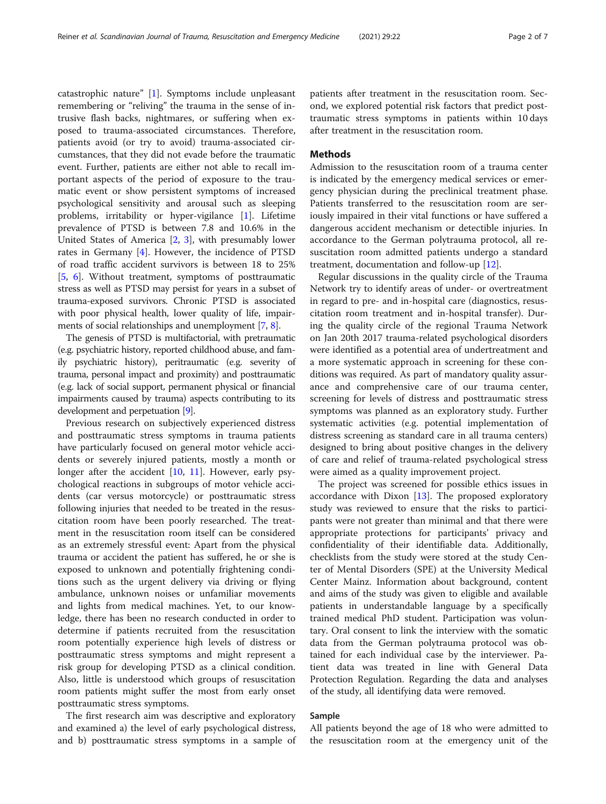catastrophic nature" [[1\]](#page-5-0). Symptoms include unpleasant remembering or "reliving" the trauma in the sense of intrusive flash backs, nightmares, or suffering when exposed to trauma-associated circumstances. Therefore, patients avoid (or try to avoid) trauma-associated circumstances, that they did not evade before the traumatic event. Further, patients are either not able to recall important aspects of the period of exposure to the traumatic event or show persistent symptoms of increased psychological sensitivity and arousal such as sleeping problems, irritability or hyper-vigilance [[1\]](#page-5-0). Lifetime prevalence of PTSD is between 7.8 and 10.6% in the United States of America [\[2,](#page-5-0) [3\]](#page-5-0), with presumably lower rates in Germany [\[4](#page-5-0)]. However, the incidence of PTSD of road traffic accident survivors is between 18 to 25% [[5,](#page-5-0) [6\]](#page-5-0). Without treatment, symptoms of posttraumatic stress as well as PTSD may persist for years in a subset of trauma-exposed survivors. Chronic PTSD is associated with poor physical health, lower quality of life, impair-ments of social relationships and unemployment [\[7](#page-5-0), [8\]](#page-5-0).

The genesis of PTSD is multifactorial, with pretraumatic (e.g. psychiatric history, reported childhood abuse, and family psychiatric history), peritraumatic (e.g. severity of trauma, personal impact and proximity) and posttraumatic (e.g. lack of social support, permanent physical or financial impairments caused by trauma) aspects contributing to its development and perpetuation [\[9](#page-5-0)].

Previous research on subjectively experienced distress and posttraumatic stress symptoms in trauma patients have particularly focused on general motor vehicle accidents or severely injured patients, mostly a month or longer after the accident [[10,](#page-5-0) [11](#page-5-0)]. However, early psychological reactions in subgroups of motor vehicle accidents (car versus motorcycle) or posttraumatic stress following injuries that needed to be treated in the resuscitation room have been poorly researched. The treatment in the resuscitation room itself can be considered as an extremely stressful event: Apart from the physical trauma or accident the patient has suffered, he or she is exposed to unknown and potentially frightening conditions such as the urgent delivery via driving or flying ambulance, unknown noises or unfamiliar movements and lights from medical machines. Yet, to our knowledge, there has been no research conducted in order to determine if patients recruited from the resuscitation room potentially experience high levels of distress or posttraumatic stress symptoms and might represent a risk group for developing PTSD as a clinical condition. Also, little is understood which groups of resuscitation room patients might suffer the most from early onset posttraumatic stress symptoms.

The first research aim was descriptive and exploratory and examined a) the level of early psychological distress, and b) posttraumatic stress symptoms in a sample of patients after treatment in the resuscitation room. Second, we explored potential risk factors that predict posttraumatic stress symptoms in patients within 10 days after treatment in the resuscitation room.

# **Methods**

Admission to the resuscitation room of a trauma center is indicated by the emergency medical services or emergency physician during the preclinical treatment phase. Patients transferred to the resuscitation room are seriously impaired in their vital functions or have suffered a dangerous accident mechanism or detectible injuries. In accordance to the German polytrauma protocol, all resuscitation room admitted patients undergo a standard treatment, documentation and follow-up [[12\]](#page-5-0).

Regular discussions in the quality circle of the Trauma Network try to identify areas of under- or overtreatment in regard to pre- and in-hospital care (diagnostics, resuscitation room treatment and in-hospital transfer). During the quality circle of the regional Trauma Network on Jan 20th 2017 trauma-related psychological disorders were identified as a potential area of undertreatment and a more systematic approach in screening for these conditions was required. As part of mandatory quality assurance and comprehensive care of our trauma center, screening for levels of distress and posttraumatic stress symptoms was planned as an exploratory study. Further systematic activities (e.g. potential implementation of distress screening as standard care in all trauma centers) designed to bring about positive changes in the delivery of care and relief of trauma-related psychological stress were aimed as a quality improvement project.

The project was screened for possible ethics issues in accordance with Dixon [[13\]](#page-5-0). The proposed exploratory study was reviewed to ensure that the risks to participants were not greater than minimal and that there were appropriate protections for participants' privacy and confidentiality of their identifiable data. Additionally, checklists from the study were stored at the study Center of Mental Disorders (SPE) at the University Medical Center Mainz. Information about background, content and aims of the study was given to eligible and available patients in understandable language by a specifically trained medical PhD student. Participation was voluntary. Oral consent to link the interview with the somatic data from the German polytrauma protocol was obtained for each individual case by the interviewer. Patient data was treated in line with General Data Protection Regulation. Regarding the data and analyses of the study, all identifying data were removed.

### Sample

All patients beyond the age of 18 who were admitted to the resuscitation room at the emergency unit of the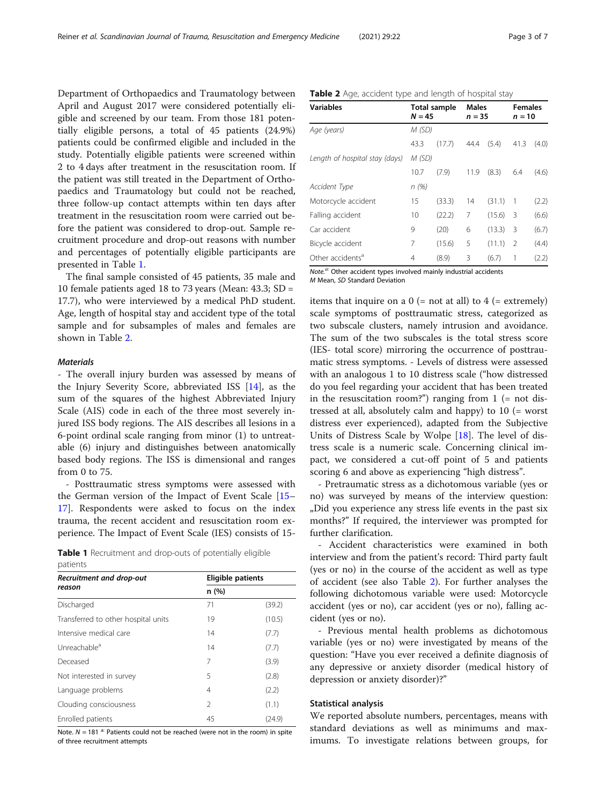Department of Orthopaedics and Traumatology between April and August 2017 were considered potentially eligible and screened by our team. From those 181 potentially eligible persons, a total of 45 patients (24.9%) patients could be confirmed eligible and included in the study. Potentially eligible patients were screened within 2 to 4 days after treatment in the resuscitation room. If the patient was still treated in the Department of Orthopaedics and Traumatology but could not be reached, three follow-up contact attempts within ten days after treatment in the resuscitation room were carried out before the patient was considered to drop-out. Sample recruitment procedure and drop-out reasons with number and percentages of potentially eligible participants are presented in Table 1.

The final sample consisted of 45 patients, 35 male and 10 female patients aged 18 to 73 years (Mean: 43.3; SD = 17.7), who were interviewed by a medical PhD student. Age, length of hospital stay and accident type of the total sample and for subsamples of males and females are shown in Table 2.

# **Materials**

- The overall injury burden was assessed by means of the Injury Severity Score, abbreviated ISS [\[14](#page-5-0)], as the sum of the squares of the highest Abbreviated Injury Scale (AIS) code in each of the three most severely injured ISS body regions. The AIS describes all lesions in a 6-point ordinal scale ranging from minor (1) to untreatable (6) injury and distinguishes between anatomically based body regions. The ISS is dimensional and ranges from 0 to 75.

- Posttraumatic stress symptoms were assessed with the German version of the Impact of Event Scale [[15](#page-5-0)– [17\]](#page-5-0). Respondents were asked to focus on the index trauma, the recent accident and resuscitation room experience. The Impact of Event Scale (IES) consists of 15-

|           | Table 1 Recruitment and drop-outs of potentially eligible |  |  |  |
|-----------|-----------------------------------------------------------|--|--|--|
| patients. |                                                           |  |  |  |

| Recruitment and drop-out            | <b>Eligible patients</b> |        |
|-------------------------------------|--------------------------|--------|
| reason                              | n(%)                     |        |
| Discharged                          | 71                       | (39.2) |
| Transferred to other hospital units | 19                       | (10.5) |
| Intensive medical care              | 14                       | (7.7)  |
| Unreachable <sup>a</sup>            | 14                       | (7.7)  |
| Deceased                            | 7                        | (3.9)  |
| Not interested in survey            | 5                        | (2.8)  |
| Language problems                   | 4                        | (2.2)  |
| Clouding consciousness              | $\mathfrak{D}$           | (1.1)  |
| Enrolled patients                   | 45                       | (24.9) |

Note.  $N = 181$  <sup>a:</sup> Patients could not be reached (were not in the room) in spite of three recruitment attempts

| Table 2 Age, accident type and length of hospital stay |  |  |  |  |
|--------------------------------------------------------|--|--|--|--|
|--------------------------------------------------------|--|--|--|--|

| <b>Variables</b>               | <b>Total sample</b><br>$N = 45$ |        | <b>Males</b><br>$n = 35$ |        | <b>Females</b><br>$n = 10$ |       |
|--------------------------------|---------------------------------|--------|--------------------------|--------|----------------------------|-------|
| Age (years)                    | M (SD)                          |        |                          |        |                            |       |
|                                | 43.3                            | (17.7) | 44.4                     | (5.4)  | 41.3                       | (4.0) |
| Length of hospital stay (days) | M (SD)                          |        |                          |        |                            |       |
|                                | 10.7                            | (7.9)  | 11.9                     | (8.3)  | 6.4                        | (4.6) |
| Accident Type                  | n(%)                            |        |                          |        |                            |       |
| Motorcycle accident            | 15                              | (33.3) | 14                       | (31.1) | 1                          | (2.2) |
| Falling accident               | 10                              | (22.2) | 7                        | (15.6) | 3                          | (6.6) |
| Car accident                   | 9                               | (20)   | 6                        | (13.3) | 3                          | (6.7) |
| Bicycle accident               | 7                               | (15.6) | 5                        | (11.1) | $\overline{2}$             | (4.4) |
| Other accidents <sup>a</sup>   | 4                               | (8.9)  | 3                        | (6.7)  | 1                          | (2.2) |

 $Note.<sup>a</sup>$  Other accident types involved mainly industrial accidents M Mean, SD Standard Deviation

items that inquire on a  $0$  (= not at all) to  $4$  (= extremely) scale symptoms of posttraumatic stress, categorized as two subscale clusters, namely intrusion and avoidance. The sum of the two subscales is the total stress score (IES- total score) mirroring the occurrence of posttraumatic stress symptoms. - Levels of distress were assessed with an analogous 1 to 10 distress scale ("how distressed do you feel regarding your accident that has been treated in the resuscitation room?") ranging from  $1$  (= not distressed at all, absolutely calm and happy) to 10 (= worst distress ever experienced), adapted from the Subjective Units of Distress Scale by Wolpe [\[18](#page-5-0)]. The level of distress scale is a numeric scale. Concerning clinical impact, we considered a cut-off point of 5 and patients scoring 6 and above as experiencing "high distress".

- Pretraumatic stress as a dichotomous variable (yes or no) was surveyed by means of the interview question: "Did you experience any stress life events in the past six months?" If required, the interviewer was prompted for further clarification.

- Accident characteristics were examined in both interview and from the patient's record: Third party fault (yes or no) in the course of the accident as well as type of accident (see also Table 2). For further analyses the following dichotomous variable were used: Motorcycle accident (yes or no), car accident (yes or no), falling accident (yes or no).

- Previous mental health problems as dichotomous variable (yes or no) were investigated by means of the question: "Have you ever received a definite diagnosis of any depressive or anxiety disorder (medical history of depression or anxiety disorder)?"

# Statistical analysis

We reported absolute numbers, percentages, means with standard deviations as well as minimums and maximums. To investigate relations between groups, for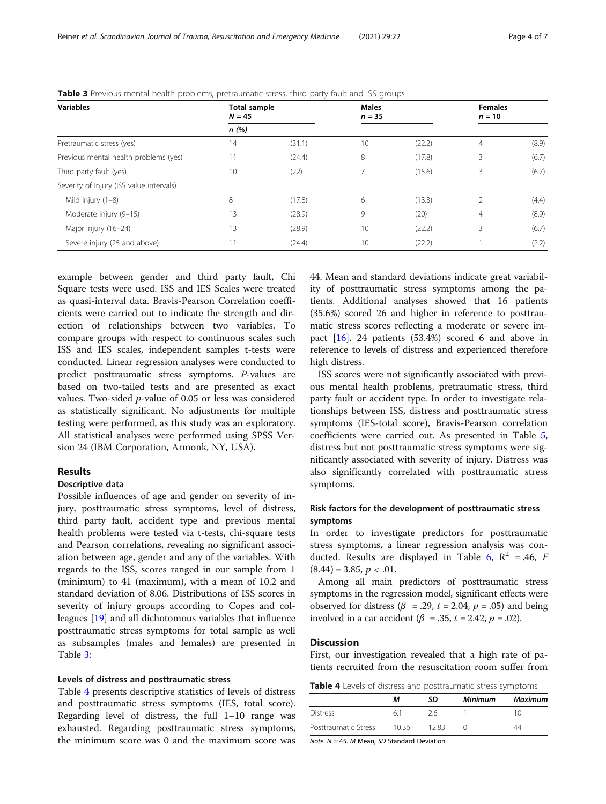| <b>Variables</b>                         | Total sample<br>$N = 45$ |        | <b>Males</b><br>$n = 35$ |        | <b>Females</b><br>$n = 10$ |       |
|------------------------------------------|--------------------------|--------|--------------------------|--------|----------------------------|-------|
|                                          | n(%)                     |        |                          |        |                            |       |
| Pretraumatic stress (yes)                | 14                       | (31.1) | 10                       | (22.2) | $\overline{4}$             | (8.9) |
| Previous mental health problems (yes)    | 11                       | (24.4) | 8                        | (17.8) | 3                          | (6.7) |
| Third party fault (yes)                  | 10                       | (22)   | 7                        | (15.6) | 3                          | (6.7) |
| Severity of injury (ISS value intervals) |                          |        |                          |        |                            |       |
| Mild injury (1-8)                        | 8                        | (17.8) | 6                        | (13.3) | $\overline{2}$             | (4.4) |
| Moderate injury (9-15)                   | 13                       | (28.9) | 9                        | (20)   | $\overline{4}$             | (8.9) |
| Major injury (16-24)                     | 13                       | (28.9) | 10                       | (22.2) | 3                          | (6.7) |
| Severe injury (25 and above)             | 11                       | (24.4) | 10                       | (22.2) |                            | (2.2) |

Table 3 Previous mental health problems, pretraumatic stress, third party fault and ISS groups

example between gender and third party fault, Chi Square tests were used. ISS and IES Scales were treated as quasi-interval data. Bravis-Pearson Correlation coefficients were carried out to indicate the strength and direction of relationships between two variables. To compare groups with respect to continuous scales such ISS and IES scales, independent samples t-tests were conducted. Linear regression analyses were conducted to predict posttraumatic stress symptoms. P-values are based on two-tailed tests and are presented as exact values. Two-sided p-value of 0.05 or less was considered as statistically significant. No adjustments for multiple testing were performed, as this study was an exploratory. All statistical analyses were performed using SPSS Version 24 (IBM Corporation, Armonk, NY, USA).

# Results

### Descriptive data

Possible influences of age and gender on severity of injury, posttraumatic stress symptoms, level of distress, third party fault, accident type and previous mental health problems were tested via t-tests, chi-square tests and Pearson correlations, revealing no significant association between age, gender and any of the variables. With regards to the ISS, scores ranged in our sample from 1 (minimum) to 41 (maximum), with a mean of 10.2 and standard deviation of 8.06. Distributions of ISS scores in severity of injury groups according to Copes and colleagues [[19](#page-5-0)] and all dichotomous variables that influence posttraumatic stress symptoms for total sample as well as subsamples (males and females) are presented in Table 3:

# Levels of distress and posttraumatic stress

Table 4 presents descriptive statistics of levels of distress and posttraumatic stress symptoms (IES, total score). Regarding level of distress, the full 1–10 range was exhausted. Regarding posttraumatic stress symptoms, the minimum score was 0 and the maximum score was 44. Mean and standard deviations indicate great variability of posttraumatic stress symptoms among the patients. Additional analyses showed that 16 patients (35.6%) scored 26 and higher in reference to posttraumatic stress scores reflecting a moderate or severe impact [\[16](#page-5-0)]. 24 patients (53.4%) scored 6 and above in reference to levels of distress and experienced therefore high distress.

ISS scores were not significantly associated with previous mental health problems, pretraumatic stress, third party fault or accident type. In order to investigate relationships between ISS, distress and posttraumatic stress symptoms (IES-total score), Bravis-Pearson correlation coefficients were carried out. As presented in Table [5](#page-4-0), distress but not posttraumatic stress symptoms were significantly associated with severity of injury. Distress was also significantly correlated with posttraumatic stress symptoms.

# Risk factors for the development of posttraumatic stress symptoms

In order to investigate predictors for posttraumatic stress symptoms, a linear regression analysis was con-ducted. Results are displayed in Table [6](#page-4-0),  $\mathbb{R}^2$  = .46, F  $(8.44) = 3.85, p < .01.$ 

Among all main predictors of posttraumatic stress symptoms in the regression model, significant effects were observed for distress ( $\beta$  = .29,  $t$  = 2.04,  $p$  = .05) and being involved in a car accident ( $\beta = .35$ ,  $t = 2.42$ ,  $p = .02$ ).

# **Discussion**

First, our investigation revealed that a high rate of patients recruited from the resuscitation room suffer from

Table 4 Levels of distress and posttraumatic stress symptoms

|                      | м     | SD.  | <b>Minimum</b> | <b>Maximum</b> |  |
|----------------------|-------|------|----------------|----------------|--|
| <b>Distress</b>      | 61    | 26   |                |                |  |
| Posttraumatic Stress | 10.36 | 1283 |                | 44             |  |

Note.  $N = 45$ . *M* Mean, *SD* Standard Deviation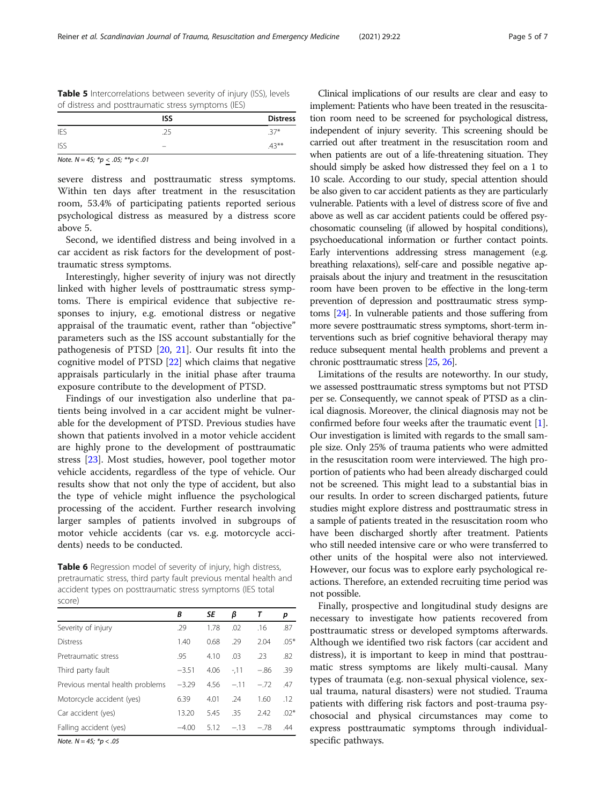<span id="page-4-0"></span>

| <b>Table 5</b> Intercorrelations between severity of injury (ISS), levels |  |
|---------------------------------------------------------------------------|--|
| of distress and posttraumatic stress symptoms (IES)                       |  |

|            | <b>ISS</b> | <b>Distress</b> |
|------------|------------|-----------------|
| <b>IES</b> | .25        | $.37*$          |
| <b>ISS</b> | $\equiv$   | $.43***$        |

Note.  $N = 45$ ;  $*p \le .05$ ;  $**p < .01$ 

severe distress and posttraumatic stress symptoms. Within ten days after treatment in the resuscitation room, 53.4% of participating patients reported serious psychological distress as measured by a distress score above 5.

Second, we identified distress and being involved in a car accident as risk factors for the development of posttraumatic stress symptoms.

Interestingly, higher severity of injury was not directly linked with higher levels of posttraumatic stress symptoms. There is empirical evidence that subjective responses to injury, e.g. emotional distress or negative appraisal of the traumatic event, rather than "objective" parameters such as the ISS account substantially for the pathogenesis of PTSD [[20,](#page-5-0) [21](#page-5-0)]. Our results fit into the cognitive model of PTSD [[22\]](#page-5-0) which claims that negative appraisals particularly in the initial phase after trauma exposure contribute to the development of PTSD.

Findings of our investigation also underline that patients being involved in a car accident might be vulnerable for the development of PTSD. Previous studies have shown that patients involved in a motor vehicle accident are highly prone to the development of posttraumatic stress [\[23](#page-6-0)]. Most studies, however, pool together motor vehicle accidents, regardless of the type of vehicle. Our results show that not only the type of accident, but also the type of vehicle might influence the psychological processing of the accident. Further research involving larger samples of patients involved in subgroups of motor vehicle accidents (car vs. e.g. motorcycle accidents) needs to be conducted.

Table 6 Regression model of severity of injury, high distress, pretraumatic stress, third party fault previous mental health and accident types on posttraumatic stress symptoms (IES total score)

|                                 | В       | SE   | β      | т      | р      |
|---------------------------------|---------|------|--------|--------|--------|
| Severity of injury              | .29     | 1.78 | .02    | .16    | .87    |
| <b>Distress</b>                 | 1.40    | 0.68 | .29    | 2.04   | $.05*$ |
| Pretraumatic stress             | .95     | 4.10 | .03    | .23    | .82    |
| Third party fault               | $-3.51$ | 4.06 | $-11$  | $-.86$ | .39    |
| Previous mental health problems | $-3.29$ | 4.56 | $-.11$ | $-.72$ | .47    |
| Motorcycle accident (yes)       | 6.39    | 4.01 | .24    | 1.60   | .12    |
| Car accident (yes)              | 13.20   | 5.45 | .35    | 2.42   | $.02*$ |
| Falling accident (yes)          | $-4.00$ | 5.12 | $-.13$ | $-.78$ | .44    |

Note.  $N = 45; *p < .05$ 

Clinical implications of our results are clear and easy to implement: Patients who have been treated in the resuscitation room need to be screened for psychological distress, independent of injury severity. This screening should be carried out after treatment in the resuscitation room and when patients are out of a life-threatening situation. They should simply be asked how distressed they feel on a 1 to 10 scale. According to our study, special attention should be also given to car accident patients as they are particularly vulnerable. Patients with a level of distress score of five and above as well as car accident patients could be offered psychosomatic counseling (if allowed by hospital conditions), psychoeducational information or further contact points. Early interventions addressing stress management (e.g. breathing relaxations), self-care and possible negative appraisals about the injury and treatment in the resuscitation room have been proven to be effective in the long-term prevention of depression and posttraumatic stress symptoms [\[24](#page-6-0)]. In vulnerable patients and those suffering from more severe posttraumatic stress symptoms, short-term interventions such as brief cognitive behavioral therapy may reduce subsequent mental health problems and prevent a chronic posttraumatic stress [[25](#page-6-0), [26](#page-6-0)].

Limitations of the results are noteworthy. In our study, we assessed posttraumatic stress symptoms but not PTSD per se. Consequently, we cannot speak of PTSD as a clinical diagnosis. Moreover, the clinical diagnosis may not be confirmed before four weeks after the traumatic event [[1](#page-5-0)]. Our investigation is limited with regards to the small sample size. Only 25% of trauma patients who were admitted in the resuscitation room were interviewed. The high proportion of patients who had been already discharged could not be screened. This might lead to a substantial bias in our results. In order to screen discharged patients, future studies might explore distress and posttraumatic stress in a sample of patients treated in the resuscitation room who have been discharged shortly after treatment. Patients who still needed intensive care or who were transferred to other units of the hospital were also not interviewed. However, our focus was to explore early psychological reactions. Therefore, an extended recruiting time period was not possible.

Finally, prospective and longitudinal study designs are necessary to investigate how patients recovered from posttraumatic stress or developed symptoms afterwards. Although we identified two risk factors (car accident and distress), it is important to keep in mind that posttraumatic stress symptoms are likely multi-causal. Many types of traumata (e.g. non-sexual physical violence, sexual trauma, natural disasters) were not studied. Trauma patients with differing risk factors and post-trauma psychosocial and physical circumstances may come to express posttraumatic symptoms through individualspecific pathways.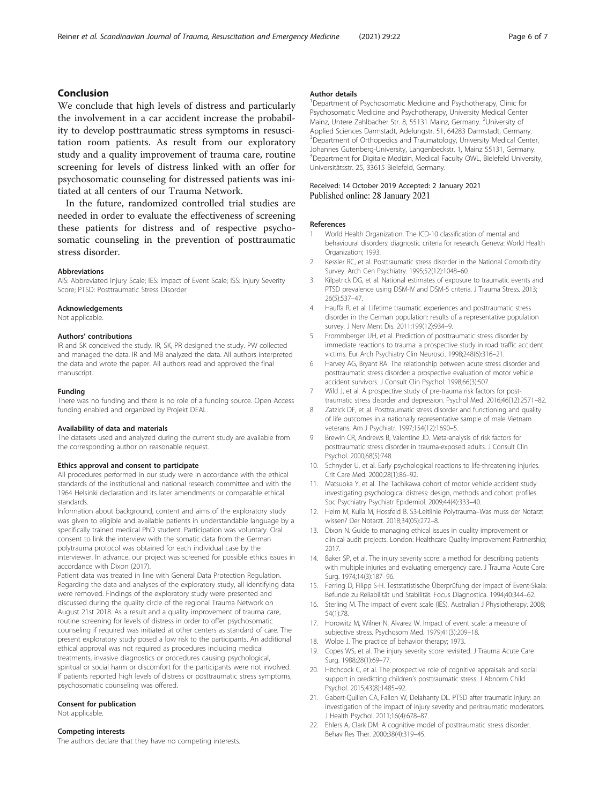# <span id="page-5-0"></span>Conclusion

We conclude that high levels of distress and particularly the involvement in a car accident increase the probability to develop posttraumatic stress symptoms in resuscitation room patients. As result from our exploratory study and a quality improvement of trauma care, routine screening for levels of distress linked with an offer for psychosomatic counseling for distressed patients was initiated at all centers of our Trauma Network.

In the future, randomized controlled trial studies are needed in order to evaluate the effectiveness of screening these patients for distress and of respective psychosomatic counseling in the prevention of posttraumatic stress disorder.

#### Abbreviations

AIS: Abbreviated Injury Scale; IES: Impact of Event Scale; ISS: Injury Severity Score; PTSD: Posttraumatic Stress Disorder

#### Acknowledgements

Not applicable.

#### Authors' contributions

IR and SK conceived the study. IR, SK, PR designed the study. PW collected and managed the data. IR and MB analyzed the data. All authors interpreted the data and wrote the paper. All authors read and approved the final manuscript.

#### Funding

There was no funding and there is no role of a funding source. Open Access funding enabled and organized by Projekt DEAL.

#### Availability of data and materials

The datasets used and analyzed during the current study are available from the corresponding author on reasonable request.

#### Ethics approval and consent to participate

All procedures performed in our study were in accordance with the ethical standards of the institutional and national research committee and with the 1964 Helsinki declaration and its later amendments or comparable ethical standards.

Information about background, content and aims of the exploratory study was given to eligible and available patients in understandable language by a specifically trained medical PhD student. Participation was voluntary. Oral consent to link the interview with the somatic data from the German polytrauma protocol was obtained for each individual case by the interviewer. In advance, our project was screened for possible ethics issues in accordance with Dixon (2017).

Patient data was treated in line with General Data Protection Regulation. Regarding the data and analyses of the exploratory study, all identifying data were removed. Findings of the exploratory study were presented and discussed during the quality circle of the regional Trauma Network on August 21st 2018. As a result and a quality improvement of trauma care, routine screening for levels of distress in order to offer psychosomatic counseling if required was initiated at other centers as standard of care. The present exploratory study posed a low risk to the participants. An additional ethical approval was not required as procedures including medical treatments, invasive diagnostics or procedures causing psychological, spiritual or social harm or discomfort for the participants were not involved. If patients reported high levels of distress or posttraumatic stress symptoms, psychosomatic counseling was offered.

#### Consent for publication

Not applicable.

#### Competing interests

The authors declare that they have no competing interests.

#### Author details

<sup>1</sup>Department of Psychosomatic Medicine and Psychotherapy, Clinic for Psychosomatic Medicine and Psychotherapy, University Medical Center Mainz, Untere Zahlbacher Str. 8, 55131 Mainz, Germany. <sup>2</sup>University of Applied Sciences Darmstadt, Adelungstr. 51, 64283 Darmstadt, Germany. <sup>3</sup> Department of Orthopedics and Traumatology, University Medical Center Johannes Gutenberg-University, Langenbeckstr. 1, Mainz 55131, Germany. 4 Department for Digitale Medizin, Medical Faculty OWL, Bielefeld University, Universitätsstr. 25, 33615 Bielefeld, Germany.

#### Received: 14 October 2019 Accepted: 2 January 2021 Published online: 28 January 2021

#### References

- 1. World Health Organization. The ICD-10 classification of mental and behavioural disorders: diagnostic criteria for research. Geneva: World Health Organization; 1993.
- 2. Kessler RC, et al. Posttraumatic stress disorder in the National Comorbidity Survey. Arch Gen Psychiatry. 1995;52(12):1048–60.
- 3. Kilpatrick DG, et al. National estimates of exposure to traumatic events and PTSD prevalence using DSM-IV and DSM-5 criteria. J Trauma Stress. 2013; 26(5):537–47.
- 4. Hauffa R, et al. Lifetime traumatic experiences and posttraumatic stress disorder in the German population: results of a representative population survey. J Nerv Ment Dis. 2011;199(12):934–9.
- 5. Frommberger UH, et al. Prediction of posttraumatic stress disorder by immediate reactions to trauma: a prospective study in road traffic accident victims. Eur Arch Psychiatry Clin Neurosci. 1998;248(6):316–21.
- 6. Harvey AG, Bryant RA. The relationship between acute stress disorder and posttraumatic stress disorder: a prospective evaluation of motor vehicle accident survivors. J Consult Clin Psychol. 1998;66(3):507.
- 7. Wild J, et al. A prospective study of pre-trauma risk factors for posttraumatic stress disorder and depression. Psychol Med. 2016;46(12):2571–82.
- 8. Zatzick DF, et al. Posttraumatic stress disorder and functioning and quality of life outcomes in a nationally representative sample of male Vietnam veterans. Am J Psychiatr. 1997;154(12):1690–5.
- 9. Brewin CR, Andrews B, Valentine JD. Meta-analysis of risk factors for posttraumatic stress disorder in trauma-exposed adults. J Consult Clin Psychol. 2000;68(5):748.
- 10. Schnyder U, et al. Early psychological reactions to life-threatening injuries. Crit Care Med. 2000;28(1):86–92.
- 11. Matsuoka Y, et al. The Tachikawa cohort of motor vehicle accident study investigating psychological distress: design, methods and cohort profiles. Soc Psychiatry Psychiatr Epidemiol. 2009;44(4):333–40.
- 12. Helm M, Kulla M, Hossfeld B. S3-Leitlinie Polytrauma–Was muss der Notarzt wissen? Der Notarzt. 2018;34(05):272–8.
- 13. Dixon N. Guide to managing ethical issues in quality improvement or clinical audit projects. London: Healthcare Quality Improvement Partnership; 2017.
- 14. Baker SP, et al. The injury severity score: a method for describing patients with multiple injuries and evaluating emergency care. J Trauma Acute Care Surg. 1974;14(3):187–96.
- 15. Ferring D, Filipp S-H. Teststatistische Überprüfung der Impact of Event-Skala: Befunde zu Reliabilität und Stabilität. Focus Diagnostica. 1994;40:344–62.
- 16. Sterling M. The impact of event scale (IES). Australian J Physiotherapy. 2008; 54(1):78.
- 17. Horowitz M, Wilner N, Alvarez W. Impact of event scale: a measure of subjective stress. Psychosom Med. 1979;41(3):209–18.
- 18. Wolpe J. The practice of behavior therapy; 1973.
- 19. Copes WS, et al. The injury severity score revisited. J Trauma Acute Care Surg. 1988;28(1):69–77.
- 20. Hitchcock C, et al. The prospective role of cognitive appraisals and social support in predicting children's posttraumatic stress. J Abnorm Child Psychol. 2015;43(8):1485–92.
- 21. Gabert-Quillen CA, Fallon W, Delahanty DL. PTSD after traumatic injury: an investigation of the impact of injury severity and peritraumatic moderators. J Health Psychol. 2011;16(4):678–87.
- 22. Ehlers A, Clark DM. A cognitive model of posttraumatic stress disorder. Behav Res Ther. 2000;38(4):319–45.